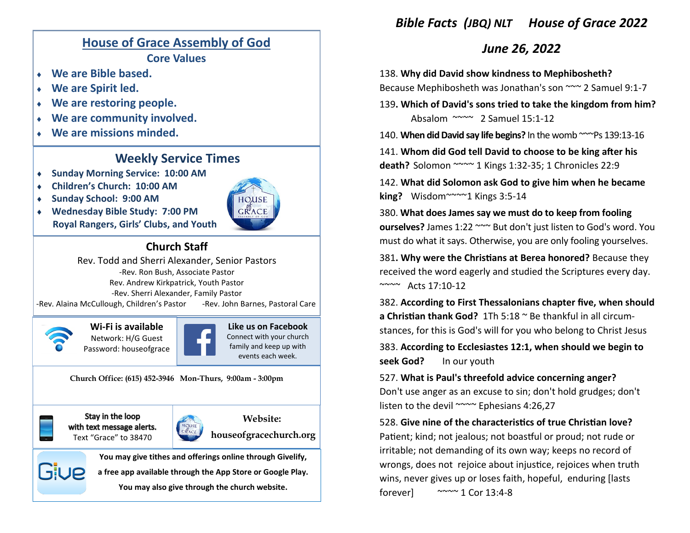

**a free app available through the App Store or Google Play. You may also give through the church website.**

Giue

## *Bible Facts (JBQ) NLT House of Grace 2022*

## *June 26, 2022*

138. **Why did David show kindness to Mephibosheth?** Because Mephibosheth was Jonathan's son ~~~ 2 Samuel 9:1-7

139**. Which of David's sons tried to take the kingdom from him?** Absalom ~~~~ 2 Samuel 15:1-12

140. **When did David say life begins?** In the womb ~~~Ps 139:13-16

141. **Whom did God tell David to choose to be king after his death?** Solomon ~~~~ 1 Kings 1:32-35; 1 Chronicles 22:9

142. **What did Solomon ask God to give him when he became king?** Wisdom~~~~1 Kings 3:5-14

380. **What does James say we must do to keep from fooling ourselves?** James 1:22 ~~~ But don't just listen to God's word. You must do what it says. Otherwise, you are only fooling yourselves.

381**. Why were the Christians at Berea honored?** Because they received the word eagerly and studied the Scriptures every day.

382. **According to First Thessalonians chapter five, when should a Christian thank God?** 1Th 5:18 ~ Be thankful in all circumstances, for this is God's will for you who belong to Christ Jesus

383. **According to Ecclesiastes 12:1, when should we begin to seek God?** In our youth

527. **What is Paul's threefold advice concerning anger?** Don't use anger as an excuse to sin; don't hold grudges; don't listen to the devil ~~~~ Ephesians 4:26,27

528. **Give nine of the characteristics of true Christian love?**  Patient; kind; not jealous; not boastful or proud; not rude or irritable; not demanding of its own way; keeps no record of wrongs, does not rejoice about injustice, rejoices when truth wins, never gives up or loses faith, hopeful, enduring [lasts forever $\sim$   $\sim$   $\sim$  1 Cor 13:4-8